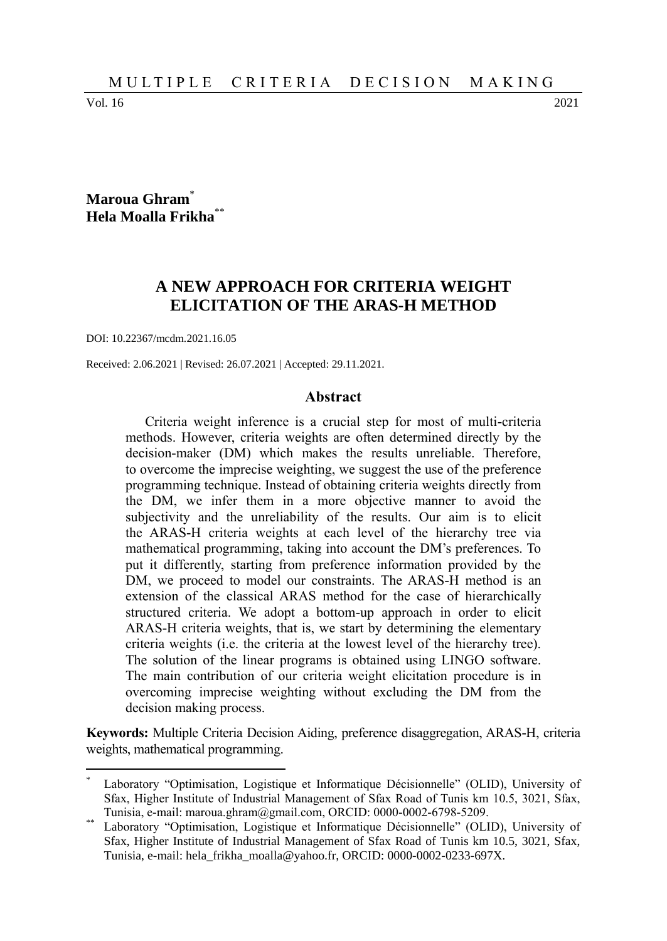Vol. 16 2021

 $\overline{a}$ 

### **Maroua Ghram**\* **Hela Moalla Frikha**\*\*

# **A NEW APPROACH FOR CRITERIA WEIGHT ELICITATION OF THE ARAS-H METHOD**

DOI: 10.22367/mcdm.2021.16.05

Received: 2.06.2021 | Revised: 26.07.2021 | Accepted: 29.11.2021.

#### **Abstract**

Criteria weight inference is a crucial step for most of multi-criteria methods. However, criteria weights are often determined directly by the decision-maker (DM) which makes the results unreliable. Therefore, to overcome the imprecise weighting, we suggest the use of the preference programming technique. Instead of obtaining criteria weights directly from the DM, we infer them in a more objective manner to avoid the subjectivity and the unreliability of the results. Our aim is to elicit the ARAS-H criteria weights at each level of the hierarchy tree via mathematical programming, taking into account the DM's preferences. To put it differently, starting from preference information provided by the DM, we proceed to model our constraints. The ARAS-H method is an extension of the classical ARAS method for the case of hierarchically structured criteria. We adopt a bottom-up approach in order to elicit ARAS-H criteria weights, that is, we start by determining the elementary criteria weights (i.e. the criteria at the lowest level of the hierarchy tree). The solution of the linear programs is obtained using LINGO software. The main contribution of our criteria weight elicitation procedure is in overcoming imprecise weighting without excluding the DM from the decision making process.

**Keywords:** Multiple Criteria Decision Aiding, preference disaggregation, ARAS-H, criteria weights, mathematical programming.

Laboratory "Optimisation, Logistique et Informatique Décisionnelle" (OLID), University of Sfax, Higher Institute of Industrial Management of Sfax Road of Tunis km 10.5, 3021, Sfax, Tunisia, e-mail: maroua.ghram@gmail.com, ORCID: 0000-0002-6798-5209.

Laboratory "Optimisation, Logistique et Informatique Décisionnelle" (OLID), University of Sfax, Higher Institute of Industrial Management of Sfax Road of Tunis km 10.5, 3021, Sfax, Tunisia, e-mail: hela\_frikha\_moalla@yahoo.fr, ORCID: 0000-0002-0233-697X.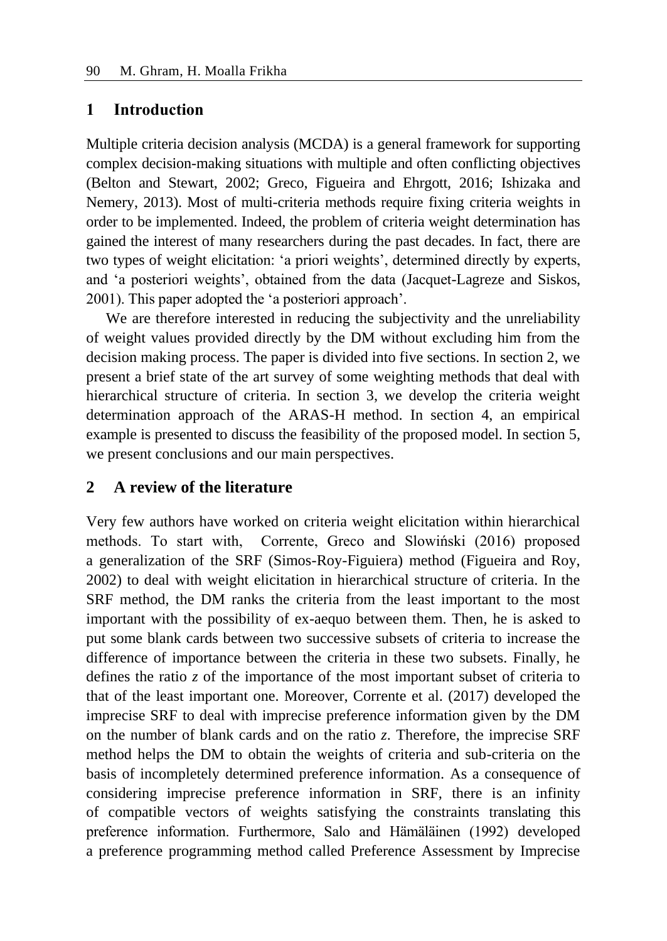### **1 Introduction**

Multiple criteria decision analysis (MCDA) is a general framework for supporting complex decision-making situations with multiple and often conflicting objectives (Belton and Stewart, 2002; Greco, Figueira and Ehrgott, 2016; Ishizaka and Nemery, 2013). Most of multi-criteria methods require fixing criteria weights in order to be implemented. Indeed, the problem of criteria weight determination has gained the interest of many researchers during the past decades. In fact, there are two types of weight elicitation: 'a priori weights', determined directly by experts, and 'a posteriori weights', obtained from the data (Jacquet-Lagreze and Siskos, 2001). This paper adopted the 'a posteriori approach'.

We are therefore interested in reducing the subjectivity and the unreliability of weight values provided directly by the DM without excluding him from the decision making process. The paper is divided into five sections. In section 2, we present a brief state of the art survey of some weighting methods that deal with hierarchical structure of criteria. In section 3, we develop the criteria weight determination approach of the ARAS-H method. In section 4, an empirical example is presented to discuss the feasibility of the proposed model. In section 5, we present conclusions and our main perspectives.

# **2 A review of the literature**

Very few authors have worked on criteria weight elicitation within hierarchical methods. To start with, Corrente, Greco and Slowiński (2016) proposed a generalization of the SRF (Simos-Roy-Figuiera) method (Figueira and Roy, 2002) to deal with weight elicitation in hierarchical structure of criteria. In the SRF method, the DM ranks the criteria from the least important to the most important with the possibility of ex-aequo between them. Then, he is asked to put some blank cards between two successive subsets of criteria to increase the difference of importance between the criteria in these two subsets. Finally, he defines the ratio *z* of the importance of the most important subset of criteria to that of the least important one. Moreover, Corrente et al. (2017) developed the imprecise SRF to deal with imprecise preference information given by the DM on the number of blank cards and on the ratio *z*. Therefore, the imprecise SRF method helps the DM to obtain the weights of criteria and sub-criteria on the basis of incompletely determined preference information. As a consequence of considering imprecise preference information in SRF, there is an infinity of compatible vectors of weights satisfying the constraints translating this preference information. Furthermore, Salo and Hämäläinen (1992) developed a preference programming method called Preference Assessment by Imprecise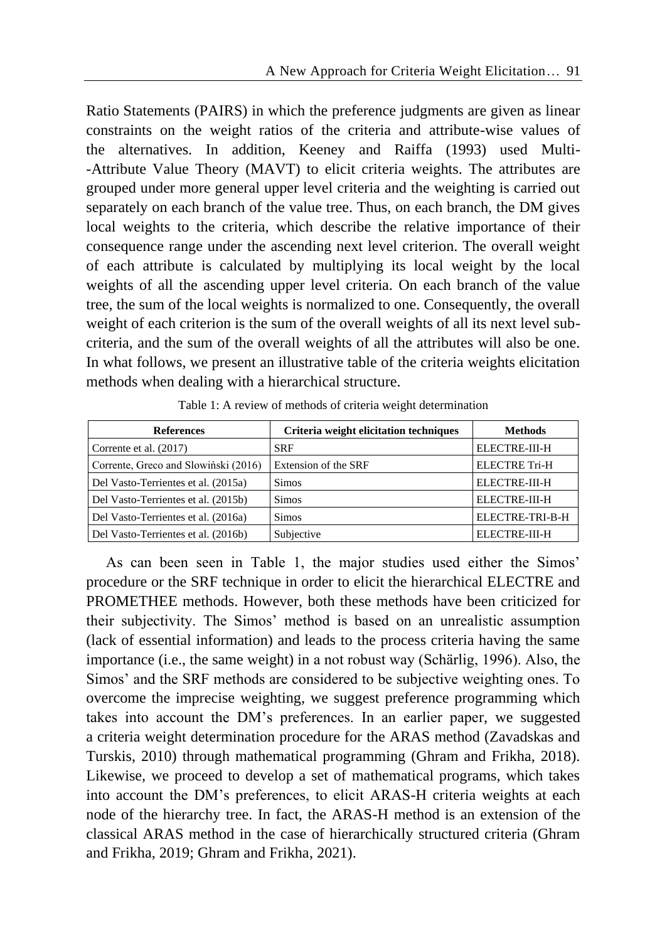Ratio Statements (PAIRS) in which the preference judgments are given as linear constraints on the weight ratios of the criteria and attribute-wise values of the alternatives. In addition, Keeney and Raiffa (1993) used Multi- -Attribute Value Theory (MAVT) to elicit criteria weights. The attributes are grouped under more general upper level criteria and the weighting is carried out separately on each branch of the value tree. Thus, on each branch, the DM gives local weights to the criteria, which describe the relative importance of their consequence range under the ascending next level criterion. The overall weight of each attribute is calculated by multiplying its local weight by the local weights of all the ascending upper level criteria. On each branch of the value tree, the sum of the local weights is normalized to one. Consequently, the overall weight of each criterion is the sum of the overall weights of all its next level subcriteria, and the sum of the overall weights of all the attributes will also be one. In what follows, we present an illustrative table of the criteria weights elicitation methods when dealing with a hierarchical structure.

| <b>References</b>                    | Criteria weight elicitation techniques | <b>Methods</b>       |
|--------------------------------------|----------------------------------------|----------------------|
| Corrente et al. (2017)               | <b>SRF</b>                             | ELECTRE-III-H        |
| Corrente, Greco and Slowiński (2016) | Extension of the SRF                   | <b>ELECTRE Tri-H</b> |
| Del Vasto-Terrientes et al. (2015a)  | <b>Simos</b>                           | ELECTRE-III-H        |
| Del Vasto-Terrientes et al. (2015b)  | <b>Simos</b>                           | ELECTRE-III-H        |
| Del Vasto-Terrientes et al. (2016a)  | <b>Simos</b>                           | ELECTRE-TRI-B-H      |
| Del Vasto-Terrientes et al. (2016b)  | Subjective                             | ELECTRE-III-H        |

Table 1: A review of methods of criteria weight determination

As can been seen in Table 1, the major studies used either the Simos' procedure or the SRF technique in order to elicit the hierarchical ELECTRE and PROMETHEE methods. However, both these methods have been criticized for their subjectivity. The Simos' method is based on an unrealistic assumption (lack of essential information) and leads to the process criteria having the same importance (i.e., the same weight) in a not robust way (Schärlig, 1996). Also, the Simos' and the SRF methods are considered to be subjective weighting ones. To overcome the imprecise weighting, we suggest preference programming which takes into account the DM's preferences. In an earlier paper, we suggested a criteria weight determination procedure for the ARAS method (Zavadskas and Turskis, 2010) through mathematical programming (Ghram and Frikha, 2018). Likewise, we proceed to develop a set of mathematical programs, which takes into account the DM's preferences, to elicit ARAS-H criteria weights at each node of the hierarchy tree. In fact, the ARAS-H method is an extension of the classical ARAS method in the case of hierarchically structured criteria (Ghram and Frikha, 2019; Ghram and Frikha, 2021).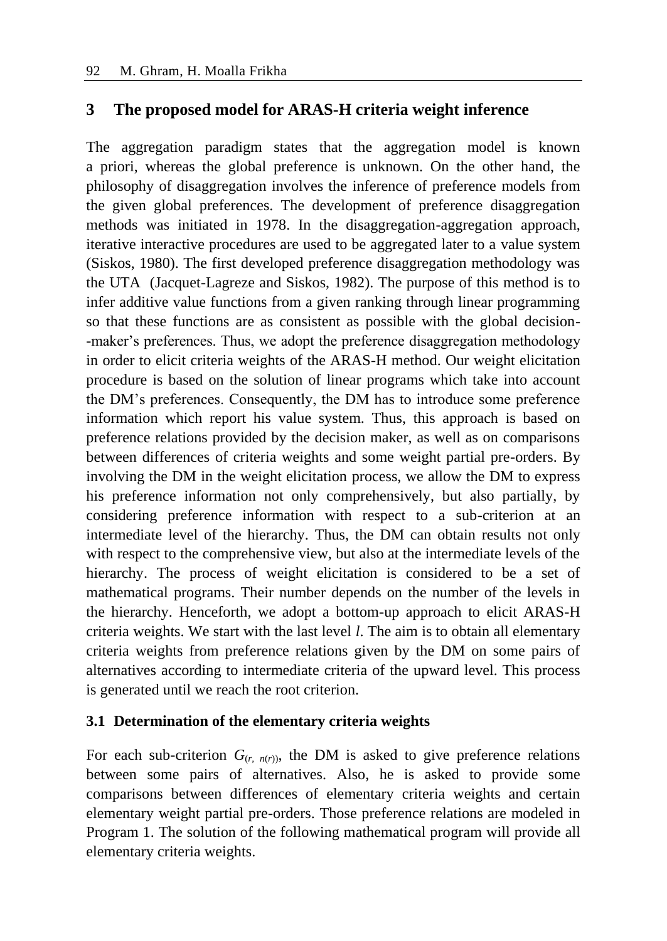### **3 The proposed model for ARAS-H criteria weight inference**

The aggregation paradigm states that the aggregation model is known a priori, whereas the global preference is unknown. On the other hand, the philosophy of disaggregation involves the inference of preference models from the given global preferences. The development of preference disaggregation methods was initiated in 1978. In the disaggregation-aggregation approach, iterative interactive procedures are used to be aggregated later to a value system (Siskos, 1980). The first developed preference disaggregation methodology was the UTA (Jacquet-Lagreze and Siskos, 1982). The purpose of this method is to infer additive value functions from a given ranking through linear programming so that these functions are as consistent as possible with the global decision- -maker's preferences. Thus, we adopt the preference disaggregation methodology in order to elicit criteria weights of the ARAS-H method. Our weight elicitation procedure is based on the solution of linear programs which take into account the DM's preferences. Consequently, the DM has to introduce some preference information which report his value system. Thus, this approach is based on preference relations provided by the decision maker, as well as on comparisons between differences of criteria weights and some weight partial pre-orders. By involving the DM in the weight elicitation process, we allow the DM to express his preference information not only comprehensively, but also partially, by considering preference information with respect to a sub-criterion at an intermediate level of the hierarchy. Thus, the DM can obtain results not only with respect to the comprehensive view, but also at the intermediate levels of the hierarchy. The process of weight elicitation is considered to be a set of mathematical programs. Their number depends on the number of the levels in the hierarchy. Henceforth, we adopt a bottom-up approach to elicit ARAS-H criteria weights. We start with the last level *l*. The aim is to obtain all elementary criteria weights from preference relations given by the DM on some pairs of alternatives according to intermediate criteria of the upward level. This process is generated until we reach the root criterion.

### **3.1 Determination of the elementary criteria weights**

For each sub-criterion  $G_{(r, n(r))}$ , the DM is asked to give preference relations between some pairs of alternatives. Also, he is asked to provide some comparisons between differences of elementary criteria weights and certain elementary weight partial pre-orders. Those preference relations are modeled in Program 1. The solution of the following mathematical program will provide all elementary criteria weights.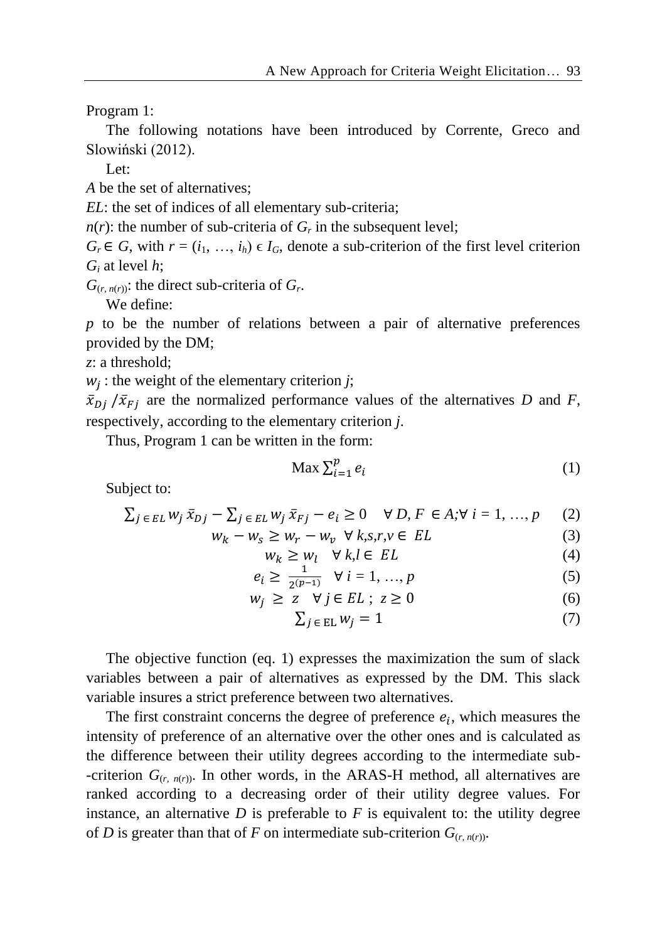Program 1:

The following notations have been introduced by Corrente, Greco and Slowiński (2012).

Let:

*A* be the set of alternatives;

*EL*: the set of indices of all elementary sub-criteria;

 $n(r)$ : the number of sub-criteria of  $G_r$  in the subsequent level;

 $G_r \in G$ , with  $r = (i_1, \ldots, i_h) \in I_G$ , denote a sub-criterion of the first level criterion *G<sup>i</sup>* at level *h*;

 $G$ <sub>(*r*, *n*(*r*)): the direct sub-criteria of  $G$ <sup>*r*</sup>.</sub>

We define:

*p* to be the number of relations between a pair of alternative preferences provided by the DM;

*z*: a threshold;

 $w_j$ : the weight of the elementary criterion *j*;

 $\bar{x}_{Di}/\bar{x}_{Fi}$  are the normalized performance values of the alternatives *D* and *F*, respectively, according to the elementary criterion *j*.

Thus, Program 1 can be written in the form:

$$
\text{Max } \sum_{i=1}^{p} e_i \tag{1}
$$

Subject to:

$$
\sum_{j \in EL} w_j \,\bar{x}_{Dj} - \sum_{j \in EL} w_j \,\bar{x}_{Fj} - e_i \ge 0 \quad \forall D, F \in A; \forall i = 1, ..., p \tag{2}
$$

$$
w_k - w_s \ge w_r - w_v \quad \forall \ k, s, r, v \in EL
$$
  
\n
$$
w_k \ge w_l \quad \forall \ k, l \in EL
$$
  
\n(3)

$$
e_i \ge \frac{1}{2^{(p-1)}} \quad \forall \ i = 1, ..., p \tag{5}
$$

$$
w_j \geq z \quad \forall j \in EL \; ; \; z \geq 0 \tag{6}
$$

$$
\sum_{j \in \text{EL}} w_j = 1 \tag{7}
$$

The objective function (eq. 1) expresses the maximization the sum of slack variables between a pair of alternatives as expressed by the DM. This slack variable insures a strict preference between two alternatives.

The first constraint concerns the degree of preference  $e_i$ , which measures the intensity of preference of an alternative over the other ones and is calculated as the difference between their utility degrees according to the intermediate sub- -criterion  $G_{(r, n(r))}$ . In other words, in the ARAS-H method, all alternatives are ranked according to a decreasing order of their utility degree values. For instance, an alternative  $D$  is preferable to  $F$  is equivalent to: the utility degree of *D* is greater than that of *F* on intermediate sub-criterion  $G_{(r, n(r))}$ .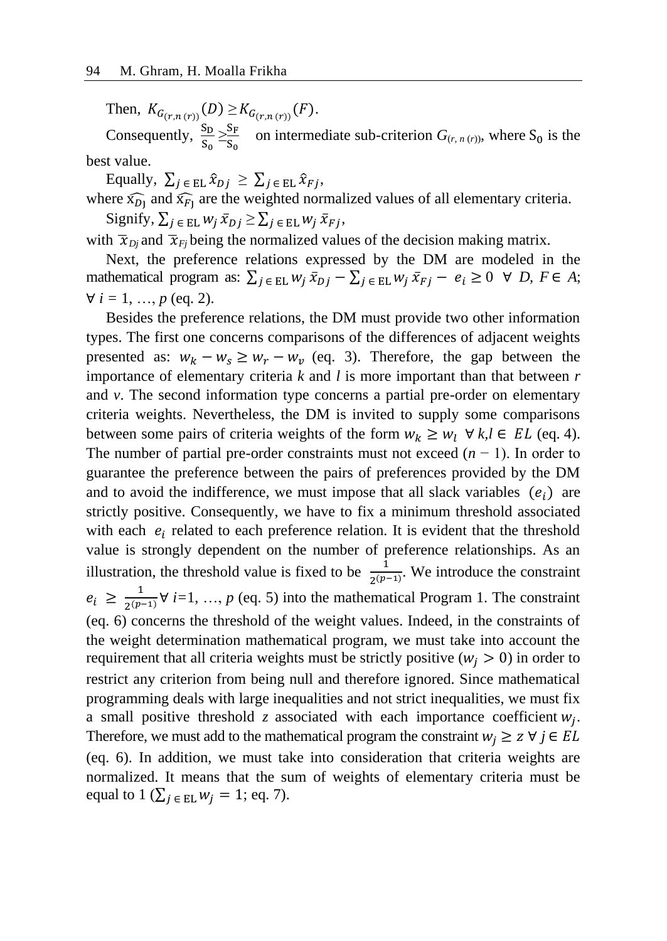Then,  $K_{G_{(r,n(r))}}(D) \geq K_{G_{(r,n(r))}}(F)$ .

Consequently,  $\frac{S_D}{S_0} \geq \frac{S_F}{S_0}$  $\frac{S_F}{S_0}$  on intermediate sub-criterion  $G_{(r, n(r))}$ , where  $S_0$  is the best value.

Equally,  $\sum_{j \in \text{EL}} \hat{x}_{Dj} \geq \sum_{j \in \text{EL}} \hat{x}_{Fj}$ ,

where  $\widehat{x_{Dj}}$  and  $\widehat{x_{Fj}}$  are the weighted normalized values of all elementary criteria. Signify,  $\sum_{j \in \text{EL}} w_j \overline{x}_{Dj} \ge \sum_{j \in \text{EL}} w_j \overline{x}_{Fj}$ ,

with  $\bar{x}_{Di}$  and  $\bar{x}_{Fi}$  being the normalized values of the decision making matrix.

Next, the preference relations expressed by the DM are modeled in the mathematical program as:  $\sum_{j \in EL} w_j \overline{x}_{Dj} - \sum_{j \in EL} w_j \overline{x}_{Fj} - e_i \ge 0 \ \forall D, F \in A;$  $∀ i = 1, ..., p$  (eq. 2).

Besides the preference relations, the DM must provide two other information types. The first one concerns comparisons of the differences of adjacent weights presented as:  $w_k - w_s \ge w_r - w_v$  (eq. 3). Therefore, the gap between the importance of elementary criteria *k* and *l* is more important than that between *r*  and *v*. The second information type concerns a partial pre-order on elementary criteria weights. Nevertheless, the DM is invited to supply some comparisons between some pairs of criteria weights of the form  $w_k \geq w_l \ \forall k, l \in EL$  (eq. 4). The number of partial pre-order constraints must not exceed  $(n - 1)$ . In order to guarantee the preference between the pairs of preferences provided by the DM and to avoid the indifference, we must impose that all slack variables  $(e_i)$  are strictly positive. Consequently, we have to fix a minimum threshold associated with each  $e_i$  related to each preference relation. It is evident that the threshold value is strongly dependent on the number of preference relationships. As an illustration, the threshold value is fixed to be  $\frac{1}{2(p-1)}$ . We introduce the constraint  $e_i \geq \frac{1}{2(p-1)}$  $\frac{1}{2^{(p-1)}}$   $\forall$  *i*=1, …, *p* (eq. 5) into the mathematical Program 1. The constraint (eq. 6) concerns the threshold of the weight values. Indeed, in the constraints of the weight determination mathematical program, we must take into account the requirement that all criteria weights must be strictly positive ( $w_i > 0$ ) in order to restrict any criterion from being null and therefore ignored. Since mathematical programming deals with large inequalities and not strict inequalities, we must fix a small positive threshold  $z$  associated with each importance coefficient  $w_j$ . Therefore, we must add to the mathematical program the constraint  $w_i \geq z \forall j \in EL$ (eq. 6). In addition, we must take into consideration that criteria weights are normalized. It means that the sum of weights of elementary criteria must be equal to  $1$  ( $\sum_{j \in EL} w_j = 1$ ; eq. 7).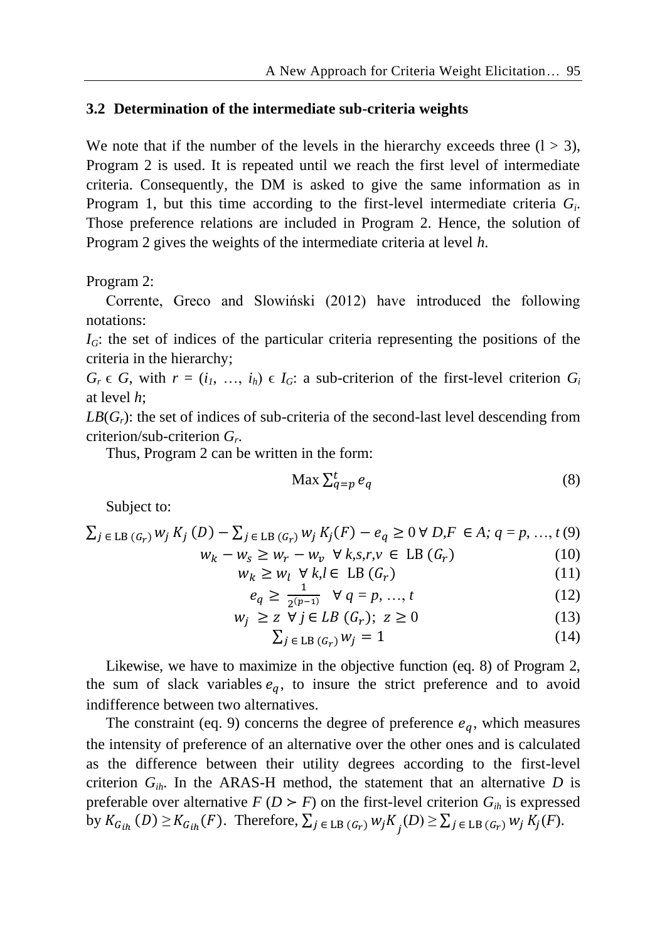#### **3.2 Determination of the intermediate sub-criteria weights**

We note that if the number of the levels in the hierarchy exceeds three  $(1 > 3)$ , Program 2 is used. It is repeated until we reach the first level of intermediate criteria. Consequently, the DM is asked to give the same information as in Program 1, but this time according to the first-level intermediate criteria *G<sup>i</sup>* . Those preference relations are included in Program 2. Hence, the solution of Program 2 gives the weights of the intermediate criteria at level *h*.

Program 2:

Corrente, Greco and Slowiński (2012) have introduced the following notations:

 $I_G$ : the set of indices of the particular criteria representing the positions of the criteria in the hierarchy;

 $G_r \in G$ , with  $r = (i_1, \ldots, i_h) \in I_G$ : a sub-criterion of the first-level criterion  $G_i$ at level *h*;

 $LB(G<sub>r</sub>)$ : the set of indices of sub-criteria of the second-last level descending from criterion/sub-criterion *G<sup>r</sup>* .

Thus, Program 2 can be written in the form:

$$
\operatorname{Max} \sum_{q=p}^{t} e_q \tag{8}
$$

Subject to:

$$
\sum_{j \in \text{LB}} (G_r) w_j K_j (D) - \sum_{j \in \text{LB}} (G_r) w_j K_j (F) - e_q \ge 0 \,\forall D, F \in A; \, q = p, ..., t \, (9)
$$
  

$$
w_k - w_s \ge w_r - w_v \,\forall k, s, r, v \in \text{LB} (G_r) \tag{10}
$$

$$
w_k \ge w_l \quad \forall \ k, l \in \text{LB}(G_r) \tag{11}
$$

$$
e_q \ge \frac{1}{2(p-1)} \quad \forall \ q = p, \ \ldots, \ t \tag{12}
$$

$$
w_j \ge z \ \overline{\forall} \ j \in LB \ (G_r); \ z \ge 0 \tag{13}
$$

$$
\sum_{j \in \text{LB}(G_r)} w_j = 1 \tag{14}
$$

Likewise, we have to maximize in the objective function (eq. 8) of Program 2, the sum of slack variables  $e_a$ , to insure the strict preference and to avoid indifference between two alternatives.

The constraint (eq. 9) concerns the degree of preference  $e_a$ , which measures the intensity of preference of an alternative over the other ones and is calculated as the difference between their utility degrees according to the first-level criterion  $G_{ih}$ . In the ARAS-H method, the statement that an alternative *D* is preferable over alternative  $F(D \ge F)$  on the first-level criterion  $G_{ih}$  is expressed by  $K_{G_{ih}}(D) \geq K_{G_{ih}}(F)$ . Therefore,  $\sum_{j \in \text{LB}(G_r)} w_j K_j(D) \geq \sum_{j \in \text{LB}(G_r)} w_j K_j(F)$ .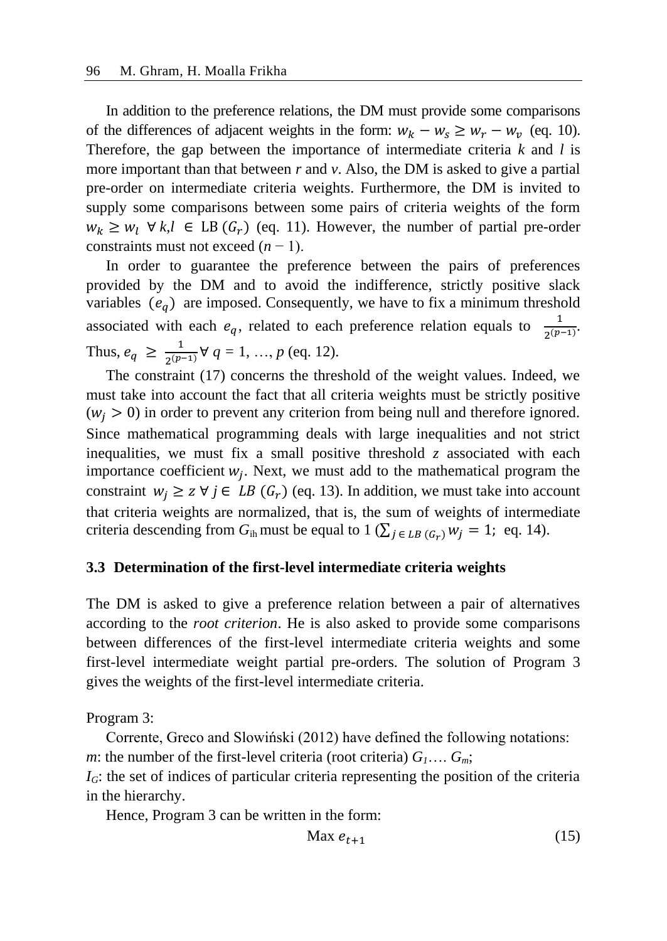In addition to the preference relations, the DM must provide some comparisons of the differences of adjacent weights in the form:  $w_k - w_s \ge w_r - w_v$  (eq. 10). Therefore, the gap between the importance of intermediate criteria *k* and *l* is more important than that between *r* and *v*. Also, the DM is asked to give a partial pre-order on intermediate criteria weights. Furthermore, the DM is invited to supply some comparisons between some pairs of criteria weights of the form  $w_k \geq w_l \ \forall \ k, l \in \text{LB}(G_r)$  (eq. 11). However, the number of partial pre-order constraints must not exceed  $(n - 1)$ .

In order to guarantee the preference between the pairs of preferences provided by the DM and to avoid the indifference, strictly positive slack variables  $(e_q)$  are imposed. Consequently, we have to fix a minimum threshold associated with each  $e_q$ , related to each preference relation equals to  $\frac{1}{2(p-1)}$ . Thus,  $e_q \geq \frac{1}{2(p-1)}$  $\frac{1}{2^{(p-1)}} \forall q = 1, ..., p$  (eq. 12).

The constraint (17) concerns the threshold of the weight values. Indeed, we must take into account the fact that all criteria weights must be strictly positive  $(w_i > 0)$  in order to prevent any criterion from being null and therefore ignored. Since mathematical programming deals with large inequalities and not strict inequalities, we must fix a small positive threshold *z* associated with each importance coefficient  $w_j$ . Next, we must add to the mathematical program the constraint  $w_j \ge z \forall j \in LB$  ( $G_r$ ) (eq. 13). In addition, we must take into account that criteria weights are normalized, that is, the sum of weights of intermediate criteria descending from  $G_{ih}$  must be equal to 1 ( $\sum_{i \in LB}$  ( $G_r$ )  $W_i = 1$ ; eq. 14).

#### **3.3 Determination of the first-level intermediate criteria weights**

The DM is asked to give a preference relation between a pair of alternatives according to the *root criterion*. He is also asked to provide some comparisons between differences of the first-level intermediate criteria weights and some first-level intermediate weight partial pre-orders. The solution of Program 3 gives the weights of the first-level intermediate criteria.

Program 3:

Corrente, Greco and Slowiński (2012) have defined the following notations: *m*: the number of the first-level criteria (root criteria)  $G_1 \ldots G_m$ ;

*I<sub>G</sub>*: the set of indices of particular criteria representing the position of the criteria in the hierarchy.

Hence, Program 3 can be written in the form:

$$
\text{Max } e_{t+1} \tag{15}
$$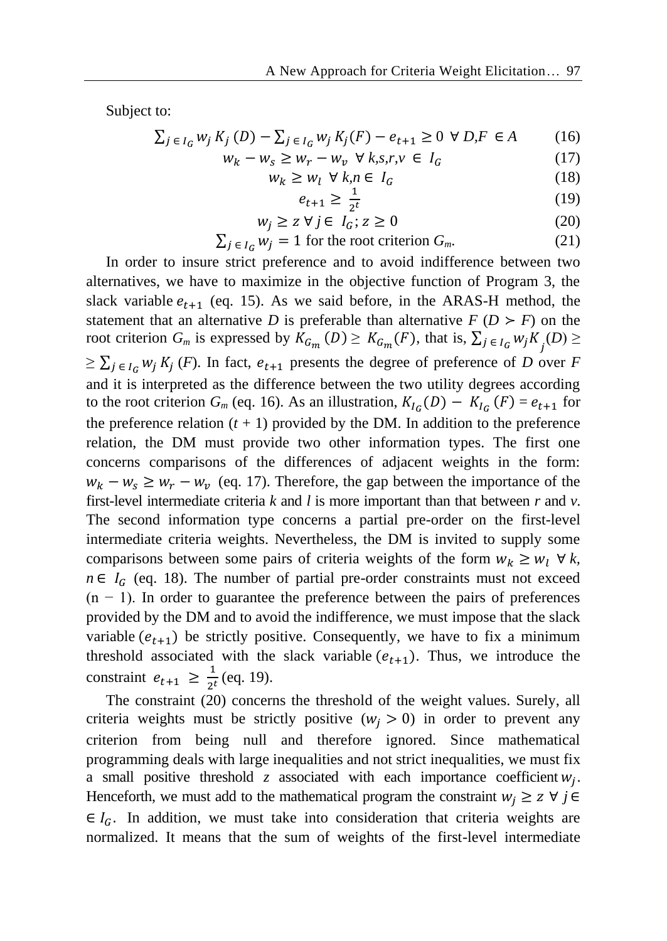Subject to:

$$
\sum_{j \in I_G} w_j K_j(D) - \sum_{j \in I_G} w_j K_j(F) - e_{t+1} \ge 0 \ \forall D, F \in A \tag{16}
$$

$$
w_k - w_s \ge w_r - w_v \quad \forall \ k, s, r, v \in I_G \tag{17}
$$

$$
w_k \ge w_l \ \forall \ k, n \in I_G \tag{18}
$$

$$
e_{t+1} \ge \frac{1}{2^t} \tag{19}
$$

$$
w_j \ge z \,\forall j \in I_G; z \ge 0 \tag{20}
$$

$$
\sum_{j \in I_G} w_j = 1
$$
 for the root criterion  $G_m$ . (21)

In order to insure strict preference and to avoid indifference between two alternatives, we have to maximize in the objective function of Program 3, the slack variable  $e_{t+1}$  (eq. 15). As we said before, in the ARAS-H method, the statement that an alternative *D* is preferable than alternative  $F(D \ge F)$  on the root criterion  $G_m$  is expressed by  $K_{G_m}(D) \geq K_{G_m}(F)$ , that is,  $\sum_{j \in I_G} w_j K_j(D) \geq$  $\geq \sum_{j \in I_G} w_j K_j(F)$ . In fact,  $e_{t+1}$  presents the degree of preference of *D* over *F* and it is interpreted as the difference between the two utility degrees according to the root criterion  $G_m$  (eq. 16). As an illustration,  $K_{I_G}(D) - K_{I_G}(F) = e_{t+1}$  for the preference relation  $(t + 1)$  provided by the DM. In addition to the preference relation, the DM must provide two other information types. The first one concerns comparisons of the differences of adjacent weights in the form:  $w_k - w_s \geq w_r - w_v$  (eq. 17). Therefore, the gap between the importance of the first-level intermediate criteria *k* and *l* is more important than that between *r* and *v*. The second information type concerns a partial pre-order on the first-level intermediate criteria weights. Nevertheless, the DM is invited to supply some comparisons between some pairs of criteria weights of the form  $w_k \geq w_l \ \forall k$ ,  $n \in I_G$  (eq. 18). The number of partial pre-order constraints must not exceed  $(n - 1)$ . In order to guarantee the preference between the pairs of preferences provided by the DM and to avoid the indifference, we must impose that the slack variable  $(e_{t+1})$  be strictly positive. Consequently, we have to fix a minimum threshold associated with the slack variable  $(e_{t+1})$ . Thus, we introduce the constraint  $e_{t+1} \geq \frac{1}{2^t}$  $\frac{1}{2^t}$  (eq. 19).

The constraint (20) concerns the threshold of the weight values. Surely, all criteria weights must be strictly positive  $(w_i > 0)$  in order to prevent any criterion from being null and therefore ignored. Since mathematical programming deals with large inequalities and not strict inequalities, we must fix a small positive threshold  $z$  associated with each importance coefficient  $w_j$ . Henceforth, we must add to the mathematical program the constraint  $w_i \geq z \forall j \in$  $\in I_G$ . In addition, we must take into consideration that criteria weights are normalized. It means that the sum of weights of the first-level intermediate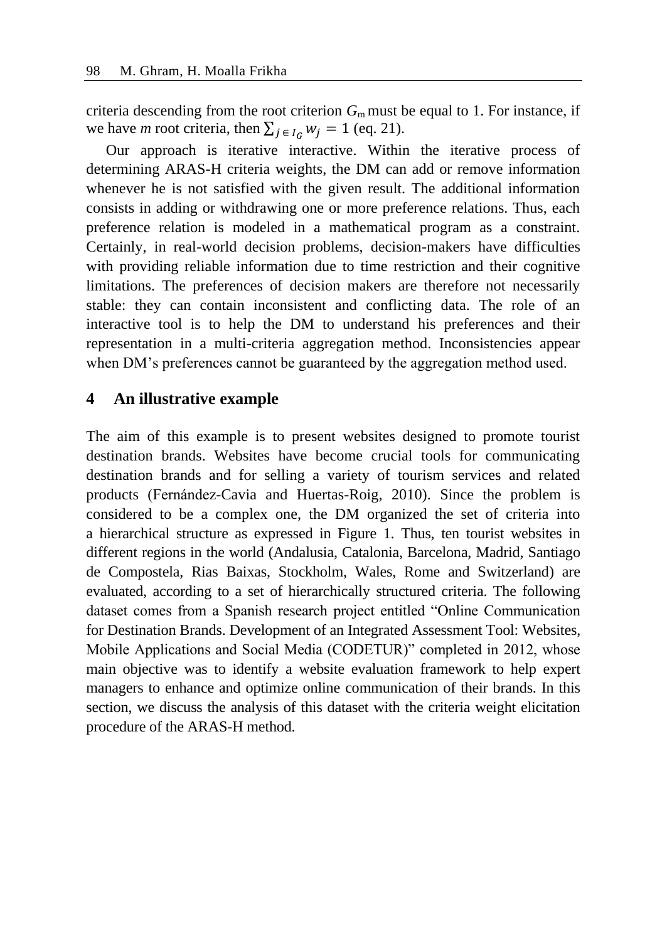criteria descending from the root criterion  $G<sub>m</sub>$  must be equal to 1. For instance, if we have *m* root criteria, then  $\sum_{i \in I_c} w_i = 1$  (eq. 21).

Our approach is iterative interactive. Within the iterative process of determining ARAS-H criteria weights, the DM can add or remove information whenever he is not satisfied with the given result. The additional information consists in adding or withdrawing one or more preference relations. Thus, each preference relation is modeled in a mathematical program as a constraint. Certainly, in real-world decision problems, decision-makers have difficulties with providing reliable information due to time restriction and their cognitive limitations. The preferences of decision makers are therefore not necessarily stable: they can contain inconsistent and conflicting data. The role of an interactive tool is to help the DM to understand his preferences and their representation in a multi-criteria aggregation method. Inconsistencies appear when DM's preferences cannot be guaranteed by the aggregation method used.

# **4 An illustrative example**

The aim of this example is to present websites designed to promote tourist destination brands. Websites have become crucial tools for communicating destination brands and for selling a variety of tourism services and related products (Fernández-Cavia and Huertas-Roig, 2010). Since the problem is considered to be a complex one, the DM organized the set of criteria into a hierarchical structure as expressed in Figure 1. Thus, ten tourist websites in different regions in the world (Andalusia, Catalonia, Barcelona, Madrid, Santiago de Compostela, Rias Baixas, Stockholm, Wales, Rome and Switzerland) are evaluated, according to a set of hierarchically structured criteria. The following dataset comes from a Spanish research project entitled "Online Communication for Destination Brands. Development of an Integrated Assessment Tool: Websites, Mobile Applications and Social Media (CODETUR)" completed in 2012, whose main objective was to identify a website evaluation framework to help expert managers to enhance and optimize online communication of their brands. In this section, we discuss the analysis of this dataset with the criteria weight elicitation procedure of the ARAS-H method.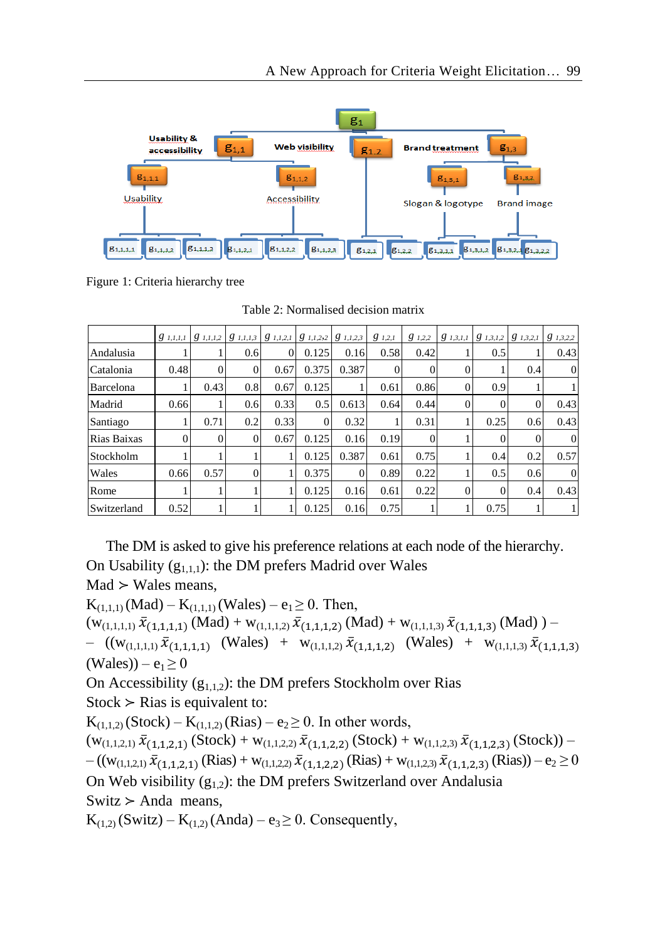

Figure 1: Criteria hierarchy tree

Table 2: Normalised decision matrix

|             | $g_{1,I,I,I}$ |          | $\begin{array}{ c c c c c c c c } \hline g & I, I, I, 2 & g & I, I, I, 3 \\ \hline \end{array}$ | $g_{1,1,2,1}$ | $ g_{1,1,2,2} \;g_{1,1,2,3}$ |          | $g_{1,2,1}$ | $g_{1,2,2}$ | $g_{1,3,1,1}$  | $\begin{array}{ c c c c c c c c } \hline g & 1,3,2,1 \\ \hline \end{array}$ |          | $g_{1,3,2,2}$ |
|-------------|---------------|----------|-------------------------------------------------------------------------------------------------|---------------|------------------------------|----------|-------------|-------------|----------------|-----------------------------------------------------------------------------|----------|---------------|
| Andalusia   |               |          | 0.6                                                                                             |               | 0.125                        | 0.16     | 0.58        | 0.42        |                | 0.5                                                                         |          | 0.43          |
| Catalonia   | 0.48          | $\Omega$ | $\Omega$                                                                                        | 0.67          | 0.375                        | 0.387    |             | 0           | $\Omega$       |                                                                             | 0.4      | $\Omega$      |
| Barcelona   |               | 0.43     | 0.8                                                                                             | 0.67          | 0.125                        |          | 0.61        | 0.86        | $\overline{0}$ | 0.9                                                                         |          |               |
| Madrid      | 0.66          |          | 0.6                                                                                             | 0.33          | 0.5                          | 0.613    | 0.64        | 0.44        | $\Omega$       |                                                                             | 0        | 0.43          |
| Santiago    |               | 0.71     | 0.2                                                                                             | 0.33          | $\Omega$                     | 0.32     |             | 0.31        |                | 0.25                                                                        | 0.6      | 0.43          |
| Rias Baixas | $\Omega$      | $\theta$ | 0                                                                                               | 0.67          | 0.125                        | 0.16     | 0.19        | $\Omega$    |                |                                                                             | $\Omega$ | $\Omega$      |
| Stockholm   |               |          |                                                                                                 |               | 0.125                        | 0.387    | 0.61        | 0.75        |                | 0.4                                                                         | 0.2      | 0.57          |
| Wales       | 0.66          | 0.57     | 0                                                                                               |               | 0.375                        | $\Omega$ | 0.89        | 0.22        |                | 0.5                                                                         | 0.6      | $\Omega$      |
| Rome        |               |          |                                                                                                 |               | 0.125                        | 0.16     | 0.61        | 0.22        | $\overline{0}$ |                                                                             | 0.4      | 0.43          |
| Switzerland | 0.52          |          |                                                                                                 |               | 0.125                        | 0.16     | 0.75        |             |                | 0.75                                                                        |          |               |

The DM is asked to give his preference relations at each node of the hierarchy. On Usability  $(g_{1,1,1})$ : the DM prefers Madrid over Wales  $Mad$   $>$  Wales means,

 $K_{(1,1,1)}(Mad) - K_{(1,1,1)}(Wales) - e_1 \ge 0$ . Then,  $(w_{(1,1,1,1)}, \bar{x}_{(1,1,1,1)} (Mad) + w_{(1,1,1,2)}, \bar{x}_{(1,1,1,2)} (Mad) + w_{(1,1,1,3)}, \bar{x}_{(1,1,1,3)} (Mad)) -$  ((w<sub>(1,1,1,1)</sub>  $\bar{x}_{(1,1,1,1)}$  (Wales) + w<sub>(1,1,1,2)</sub>  $\bar{x}_{(1,1,1,2)}$  (Wales) + w<sub>(1,1,1,3)</sub>  $\bar{x}_{(1,1,1,3)}$  $(Wales) - e<sub>1</sub> \ge 0$ 

On Accessibility  $(g_{1,1,2})$ : the DM prefers Stockholm over Rias  $Stock$  ≻ Rias is equivalent to:

 $K_{(1,1,2)}$  (Stock) –  $K_{(1,1,2)}$  (Rias) – e<sub>2</sub>  $\geq$  0. In other words,

 $(w_{(1,1,2,1)}, \bar{x}_{(1,1,2,1)}$  (Stock) +  $w_{(1,1,2,2)}, \bar{x}_{(1,1,2,2)}$  (Stock) +  $w_{(1,1,2,3)}, \bar{x}_{(1,1,2,3)}$  (Stock)) –  $-((w_{(1,1,2,1)}, \bar{x}_{(1,1,2,1)}(Rias) + w_{(1,1,2,2)}, \bar{x}_{(1,1,2,2)}(Rias) + w_{(1,1,2,3)}, \bar{x}_{(1,1,2,3)}(Rias)) - e_2 \ge 0$ On Web visibility  $(g_{1,2})$ : the DM prefers Switzerland over Andalusia  $Switz$  > Anda means,

 $K_{(1,2)}$  (Switz) –  $K_{(1,2)}$  (Anda) – e<sub>3</sub>  $\geq$  0. Consequently,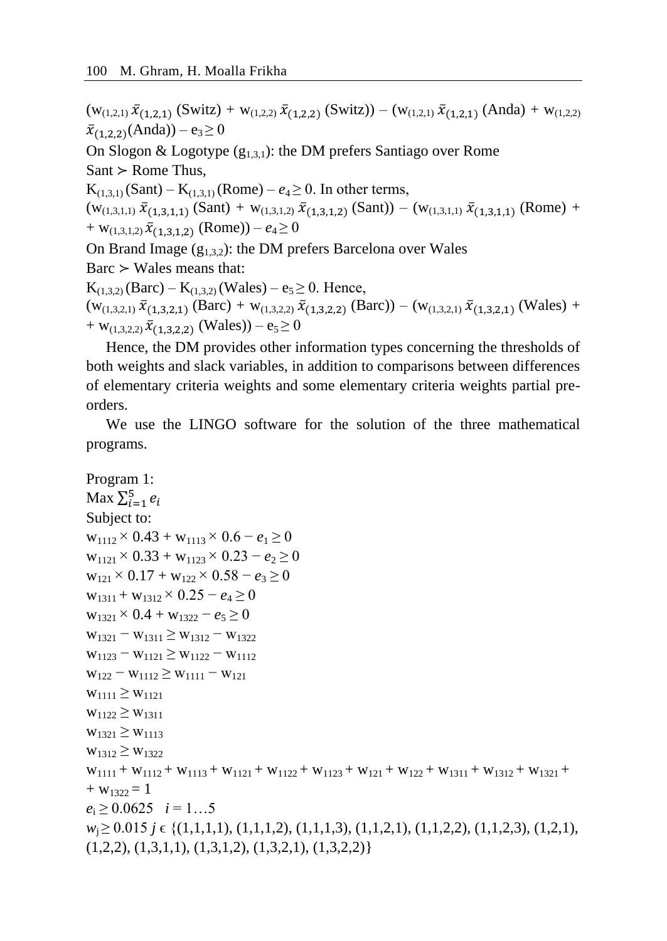$(w_{(1,2,1)}, \bar{x}_{(1,2,1)}$  (Switz) +  $w_{(1,2,2)}, \bar{x}_{(1,2,2)}$  (Switz)) –  $(w_{(1,2,1)}, \bar{x}_{(1,2,1)}$  (Anda) +  $w_{(1,2,2)}$  $\bar{x}_{(1,2,2)}(A \text{nda}) - e_3 \ge 0$ On Slogon & Logotype  $(g_{1,3,1})$ : the DM prefers Santiago over Rome  $Sant$  ≻ Rome Thus,  $K_{(1,3,1)}$  (Sant) –  $K_{(1,3,1)}$  (Rome) –  $e_4 \ge 0$ . In other terms,  $(w_{(1,3,1,1)}, \bar{x}_{(1,3,1,1)}$  (Sant) +  $w_{(1,3,1,2)}, \bar{x}_{(1,3,1,2)}$  (Sant)) –  $(w_{(1,3,1,1)}, \bar{x}_{(1,3,1,1)}$  (Rome) +  $+$  W<sub>(1,3,1,2)</sub>  $\bar{x}_{(1,3,1,2)}$  (Rome)) –  $e_4 \ge 0$ On Brand Image  $(g_{1,3,2})$ : the DM prefers Barcelona over Wales  $Barc$  ≻ Wales means that:  $K_{(1,3,2)}$  (Barc) –  $K_{(1,3,2)}$  (Wales) – e<sub>5</sub>  $\geq$  0. Hence,  $(w_{(1,3,2,1)}, \bar{x}_{(1,3,2,1)}$  (Barc) +  $w_{(1,3,2,2)}, \bar{x}_{(1,3,2,2)}$  (Barc)) –  $(w_{(1,3,2,1)}, \bar{x}_{(1,3,2,1)})$  (Wales) + +  $w_{(1,3,2,2)}\,\bar{x}_{(1,3,2,2)}$  (Wales)) –  $e_5 \ge 0$ 

Hence, the DM provides other information types concerning the thresholds of both weights and slack variables, in addition to comparisons between differences of elementary criteria weights and some elementary criteria weights partial preorders.

We use the LINGO software for the solution of the three mathematical programs.

```
Program 1:
Max \sum_{i=1}^{5} e_iSubject to:
w_{1112} \times 0.43 + w_{1113} \times 0.6 - e_1 \ge 0w_{1121} \times 0.33 + w_{1123} \times 0.23 - e_2 \ge 0w_{121} \times 0.17 + w_{122} \times 0.58 - e_3 \ge 0w_{1311} + w_{1312} \times 0.25 - e_4 \ge 0w_{1321} \times 0.4 + w_{1322} - e_5 \ge 0w_{1321} - w_{1311} \geq w_{1312} - w_{1322}w_{1123} - w_{1121} \geq w_{1122} - w_{1112}w_{122} - w_{1112} \geq w_{1111} - w_{121}W_{1111} \geq W_{1121}W_{1122} \geq W_{1311}W_{1321} \geq W_{1113}W_{1312} \geq W_{1322}W_{1111} + W_{1112} + W_{1113} + W_{1121} + W_{1122} + W_{1123} + W_{121} + W_{122} + W_{1311} + W_{1312} + W_{1321} ++ w_{1322} = 1e_i \geq 0.0625 i = 1...5w<sub>i</sub>≥ 0.015 j ∈ {(1,1,1,1), (1,1,1,2), (1,1,1,3), (1,1,2,1), (1,1,2,2), (1,1,2,3), (1,2,1),
(1,2,2), (1,3,1,1), (1,3,1,2), (1,3,2,1), (1,3,2,2)
```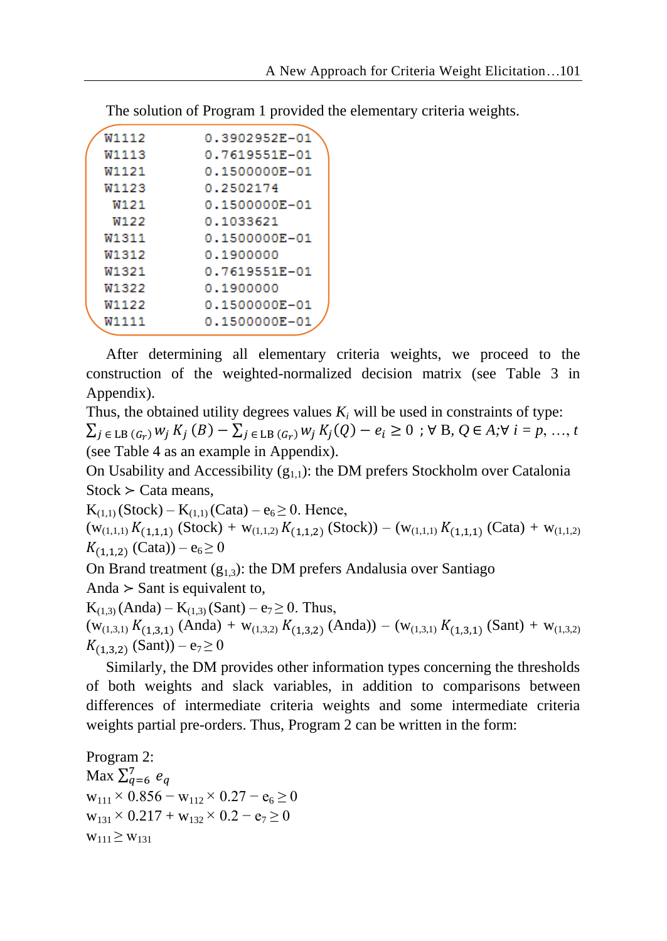| W1112 | 0.3902952E-01 |
|-------|---------------|
| W1113 | 0.7619551E-01 |
| W1121 | 0.1500000E-01 |
| W1123 | 0.2502174     |
| W121  | 0.1500000E-01 |
| W122  | 0.1033621     |
| W1311 | 0.1500000E-01 |
| W1312 | 0.1900000     |
| W1321 | 0.7619551E-01 |
| W1322 | 0.1900000     |
| W1122 | 0.1500000E-01 |
| W1111 | 0.1500000E-01 |
|       |               |

After determining all elementary criteria weights, we proceed to the construction of the weighted-normalized decision matrix (see Table 3 in Appendix).

Thus, the obtained utility degrees values  $K_i$  will be used in constraints of type:  $\sum_{j \in \text{LB}(G_r)} w_j K_j(B) - \sum_{j \in \text{LB}(G_r)} w_j K_j(Q) - e_i \ge 0$ ;  $\forall B, Q \in A; \forall i = p, ..., t$ (see Table 4 as an example in Appendix).

On Usability and Accessibility  $(g_{1})$ : the DM prefers Stockholm over Catalonia  $Stock$   $\geq$  Cata means,

 $K_{(1,1)}$  (Stock) –  $K_{(1,1)}$  (Cata) –  $e_6 \ge 0$ . Hence,

 $(w_{(1,1,1)} K_{(1,1,1)}$  (Stock) +  $w_{(1,1,2)} K_{(1,1,2)}$  (Stock)) –  $(w_{(1,1,1)} K_{(1,1,1)}$  (Cata) +  $w_{(1,1,2)}$  $K_{(1,1,2)}$  (Cata)) –  $e_6 \ge 0$ 

On Brand treatment  $(g_{1,3})$ : the DM prefers Andalusia over Santiago Anda  $>$  Sant is equivalent to,

 $K_{(1,3)}(Anda) - K_{(1,3)}(Sant) - e_7 \ge 0$ . Thus,  $(w_{(1,3,1)} K_{(1,3,1)} (Anda) + w_{(1,3,2)} K_{(1,3,2)} (Anda)) - (w_{(1,3,1)} K_{(1,3,1)} (Sant) + w_{(1,3,2)} )$  $K_{(1,3,2)}$  (Sant)) – e<sub>7</sub>  $\geq$  0

Similarly, the DM provides other information types concerning the thresholds of both weights and slack variables, in addition to comparisons between differences of intermediate criteria weights and some intermediate criteria weights partial pre-orders. Thus, Program 2 can be written in the form:

Program 2: Max  $\Sigma_{q=6}^7 e_q$  $w_{111} \times 0.856 - w_{112} \times 0.27 - e_6 \ge 0$  $w_{131} \times 0.217 + w_{132} \times 0.2 - e_7 \ge 0$  $W_{111} \geq W_{131}$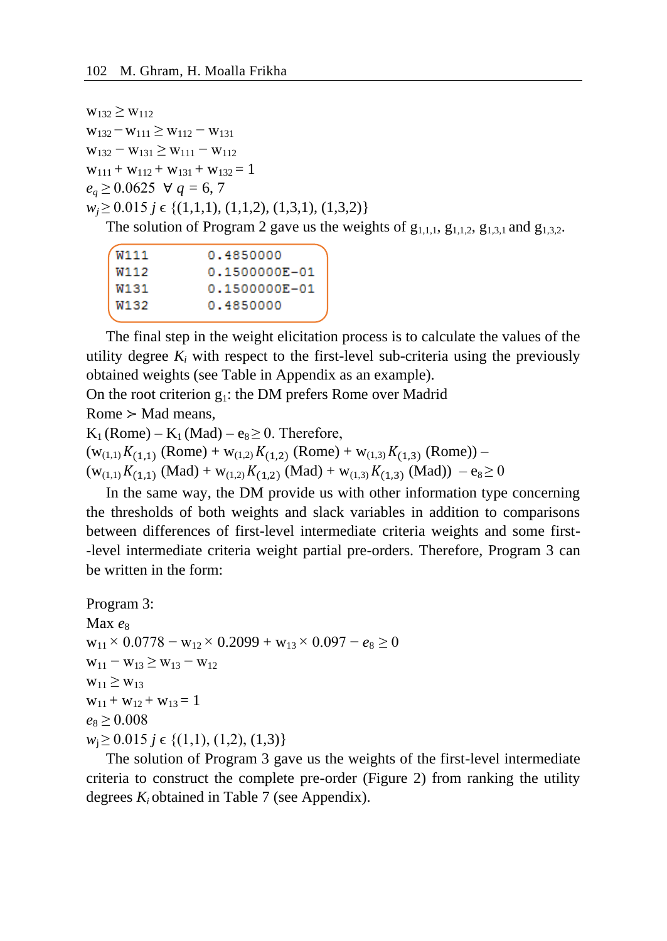$W_{132} \geq W_{112}$  $w_{132} - w_{111} \geq w_{112} - w_{131}$  $w_{132} - w_{131} \geq w_{111} - w_{112}$  $w_{111} + w_{112} + w_{131} + w_{132} = 1$  $e_a$  ≥ 0.0625 ∀ *q* = 6, 7 *w*<sub>*j*</sub> ≥ 0.015 *j* ∈ {(1,1,1), (1,1,2), (1,3,1), (1,3,2)}

The solution of Program 2 gave us the weights of  $g_{1,1,1}$ ,  $g_{1,1,2}$ ,  $g_{1,3,1}$  and  $g_{1,3,2}$ .

| W111 | 0.4850000     |
|------|---------------|
| W112 | 0.1500000E-01 |
| W131 | 0.1500000E-01 |
| W132 | 0.4850000     |
|      |               |

The final step in the weight elicitation process is to calculate the values of the utility degree  $K_i$  with respect to the first-level sub-criteria using the previously obtained weights (see Table in Appendix as an example).

On the root criterion  $g_1$ : the DM prefers Rome over Madrid

Rome  $>$  Mad means,

 $K_1$  (Rome) –  $K_1$  (Mad) – e<sub>8</sub>  $\geq$  0. Therefore,

 $(w_{(1,1)}K_{(1,1)}$  (Rome) +  $w_{(1,2)}K_{(1,2)}$  (Rome) +  $w_{(1,3)}K_{(1,3)}$  (Rome)) –

 $(w_{(1,1)}K_{(1,1)}(Mad) + w_{(1,2)}K_{(1,2)}(Mad) + w_{(1,3)}K_{(1,3)}(Mad)) - e_8 \ge 0$ 

In the same way, the DM provide us with other information type concerning the thresholds of both weights and slack variables in addition to comparisons between differences of first-level intermediate criteria weights and some first- -level intermediate criteria weight partial pre-orders. Therefore, Program 3 can be written in the form:

Program 3: Max  $e_8$  $w_{11} \times 0.0778 - w_{12} \times 0.2099 + w_{13} \times 0.097 - e_8 \ge 0$  $W_{11} - W_{13} \ge W_{13} - W_{12}$  $W_{11} \geq W_{13}$  $w_{11} + w_{12} + w_{13} = 1$  $e_8 \ge 0.008$ *w*<sub>i</sub> ≥ 0.015 *j* ∈ {(1,1), (1,2), (1,3)}

The solution of Program 3 gave us the weights of the first-level intermediate criteria to construct the complete pre-order (Figure 2) from ranking the utility degrees *Ki* obtained in Table 7 (see Appendix).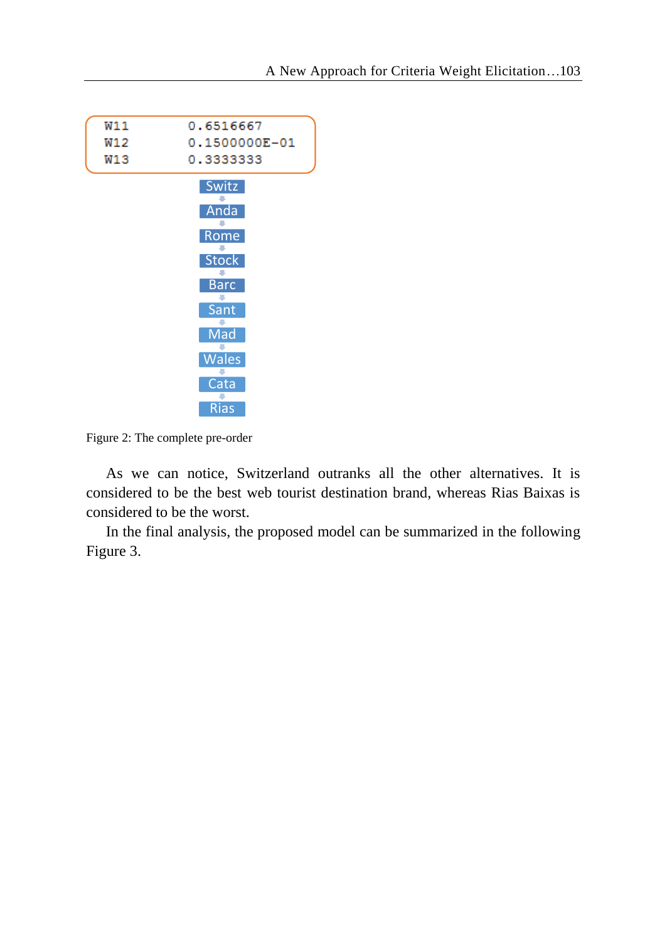

Figure 2: The complete pre-order

As we can notice, Switzerland outranks all the other alternatives. It is considered to be the best web tourist destination brand, whereas Rias Baixas is considered to be the worst.

In the final analysis, the proposed model can be summarized in the following Figure 3.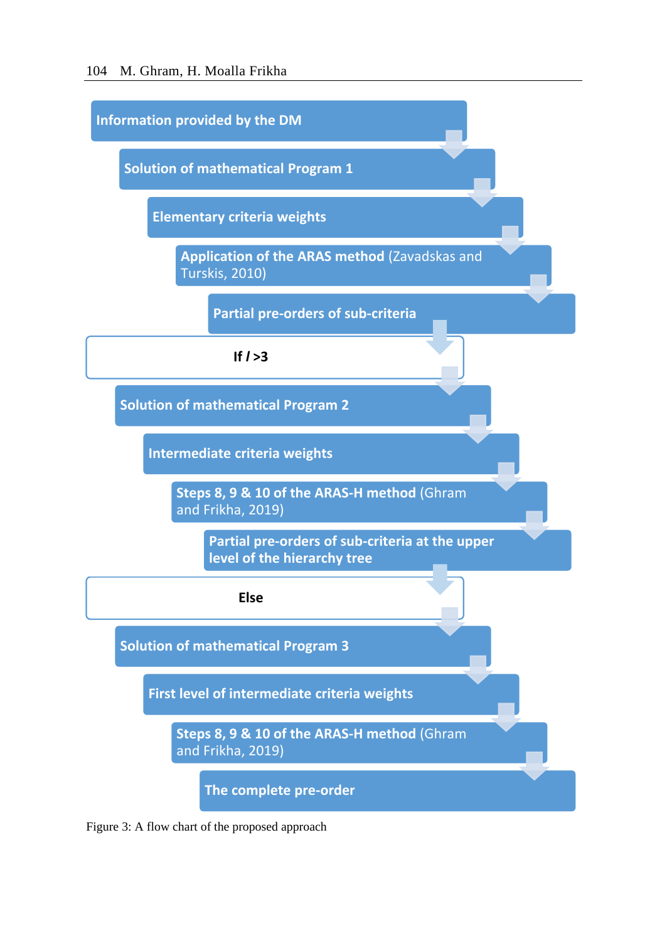

Figure 3: A flow chart of the proposed approach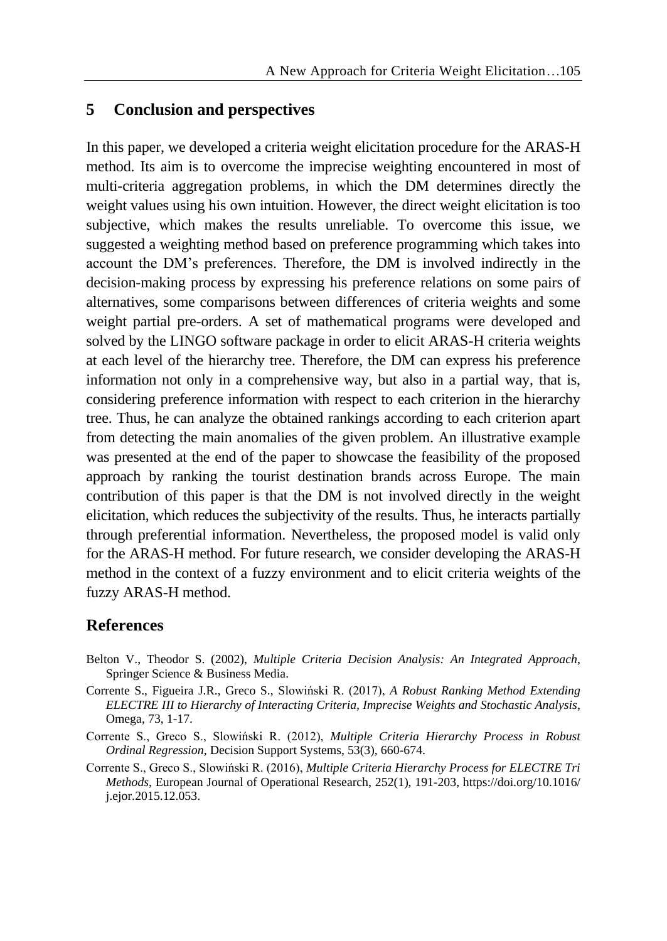# **5 Conclusion and perspectives**

In this paper, we developed a criteria weight elicitation procedure for the ARAS-H method. Its aim is to overcome the imprecise weighting encountered in most of multi-criteria aggregation problems, in which the DM determines directly the weight values using his own intuition. However, the direct weight elicitation is too subjective, which makes the results unreliable. To overcome this issue, we suggested a weighting method based on preference programming which takes into account the DM's preferences. Therefore, the DM is involved indirectly in the decision-making process by expressing his preference relations on some pairs of alternatives, some comparisons between differences of criteria weights and some weight partial pre-orders. A set of mathematical programs were developed and solved by the LINGO software package in order to elicit ARAS-H criteria weights at each level of the hierarchy tree. Therefore, the DM can express his preference information not only in a comprehensive way, but also in a partial way, that is, considering preference information with respect to each criterion in the hierarchy tree. Thus, he can analyze the obtained rankings according to each criterion apart from detecting the main anomalies of the given problem. An illustrative example was presented at the end of the paper to showcase the feasibility of the proposed approach by ranking the tourist destination brands across Europe. The main contribution of this paper is that the DM is not involved directly in the weight elicitation, which reduces the subjectivity of the results. Thus, he interacts partially through preferential information. Nevertheless, the proposed model is valid only for the ARAS-H method. For future research, we consider developing the ARAS-H method in the context of a fuzzy environment and to elicit criteria weights of the fuzzy ARAS-H method.

# **References**

- Belton V., Theodor S. (2002), *Multiple Criteria Decision Analysis: An Integrated Approach*, Springer Science & Business Media.
- Corrente S., Figueira J.R., Greco S., Slowiński R. (2017), *A Robust Ranking Method Extending ELECTRE III to Hierarchy of Interacting Criteria, Imprecise Weights and Stochastic Analysis*, Omega, 73, 1-17.
- Corrente S., Greco S., Slowiński R. (2012), *Multiple Criteria Hierarchy Process in Robust Ordinal Regression*, Decision Support Systems, 53(3), 660-674.
- Corrente S., Greco S., Slowiński R. (2016), *Multiple Criteria Hierarchy Process for ELECTRE Tri Methods*, European Journal of Operational Research, 252(1), 191-203, https://doi.org/10.1016/ j.ejor.2015.12.053.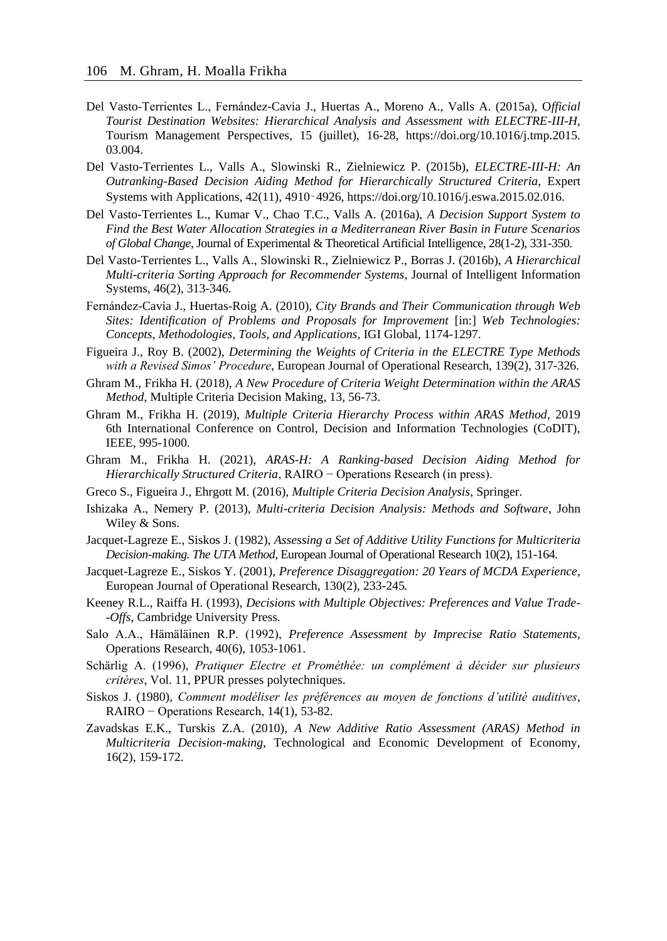- Del Vasto-Terrientes L., Fernández-Cavia J., Huertas A., Moreno A., Valls A. (2015a), O*fficial Tourist Destination Websites: Hierarchical Analysis and Assessment with ELECTRE-III-H*, Tourism Management Perspectives, 15 (juillet), 16-28, https://doi.org/10.1016/j.tmp.2015. 03.004.
- Del Vasto-Terrientes L., Valls A., Slowinski R., Zielniewicz P. (2015b), *ELECTRE-III-H: An Outranking-Based Decision Aiding Method for Hierarchically Structured Criteria*, Expert Systems with Applications, 42(11), 4910‑4926, https://doi.org/10.1016/j.eswa.2015.02.016.
- Del Vasto-Terrientes L., Kumar V., Chao T.C., Valls A. (2016a), *A Decision Support System to Find the Best Water Allocation Strategies in a Mediterranean River Basin in Future Scenarios of Global Change*, Journal of Experimental & Theoretical Artificial Intelligence, 28(1-2), 331-350.
- Del Vasto-Terrientes L., Valls A., Slowinski R., Zielniewicz P., Borras J. (2016b), *A Hierarchical Multi-criteria Sorting Approach for Recommender Systems*, Journal of Intelligent Information Systems, 46(2), 313-346.
- Fernández-Cavia J., Huertas-Roig A. (2010), *City Brands and Their Communication through Web Sites: Identification of Problems and Proposals for Improvement* [in:] *Web Technologies: Concepts, Methodologies, Tools, and Applications*, IGI Global, 1174-1297.
- Figueira J., Roy B. (2002), *Determining the Weights of Criteria in the ELECTRE Type Methods with a Revised Simos' Procedure*, European Journal of Operational Research, 139(2), 317-326.
- Ghram M., Frikha H. (2018), *A New Procedure of Criteria Weight Determination within the ARAS Method*, Multiple Criteria Decision Making, 13, 56-73.
- Ghram M., Frikha H. (2019), *Multiple Criteria Hierarchy Process within ARAS Method*, 2019 6th International Conference on Control, Decision and Information Technologies (CoDIT), IEEE, 995-1000.
- Ghram M., Frikha H. (2021), *ARAS-H: A Ranking-based Decision Aiding Method for Hierarchically Structured Criteria*, RAIRO – Operations Research (in press).
- Greco S., Figueira J., Ehrgott M. (2016), *Multiple Criteria Decision Analysis*, Springer.
- Ishizaka A., Nemery P. (2013), *Multi-criteria Decision Analysis: Methods and Software*, John Wiley & Sons.
- Jacquet-Lagreze E., Siskos J. (1982), *Assessing a Set of Additive Utility Functions for Multicriteria Decision-making. The UTA Method*, European Journal of Operational Research 10(2), 151-164.
- Jacquet-Lagreze E., Siskos Y. (2001), *Preference Disaggregation: 20 Years of MCDA Experience*, European Journal of Operational Research, 130(2), 233-245*.*
- Keeney R.L., Raiffa H. (1993), *Decisions with Multiple Objectives: Preferences and Value Trade- -Offs*, Cambridge University Press.
- Salo A.A., Hämäläinen R.P. (1992), *Preference Assessment by Imprecise Ratio Statements*, Operations Research, 40(6), 1053-1061.
- Schärlig A. (1996), *Pratiquer Electre et Prométhée: un complément à décider sur plusieurs critères*, Vol. 11, PPUR presses polytechniques.
- Siskos J. (1980), *Comment modéliser les préférences au moyen de fonctions d'utilité auditives*, RAIRO − Operations Research, 14(1), 53-82.
- Zavadskas E.K., Turskis Z.A. (2010), *A New Additive Ratio Assessment (ARAS) Method in Multicriteria Decision-making*, Technological and Economic Development of Economy, 16(2), 159-172.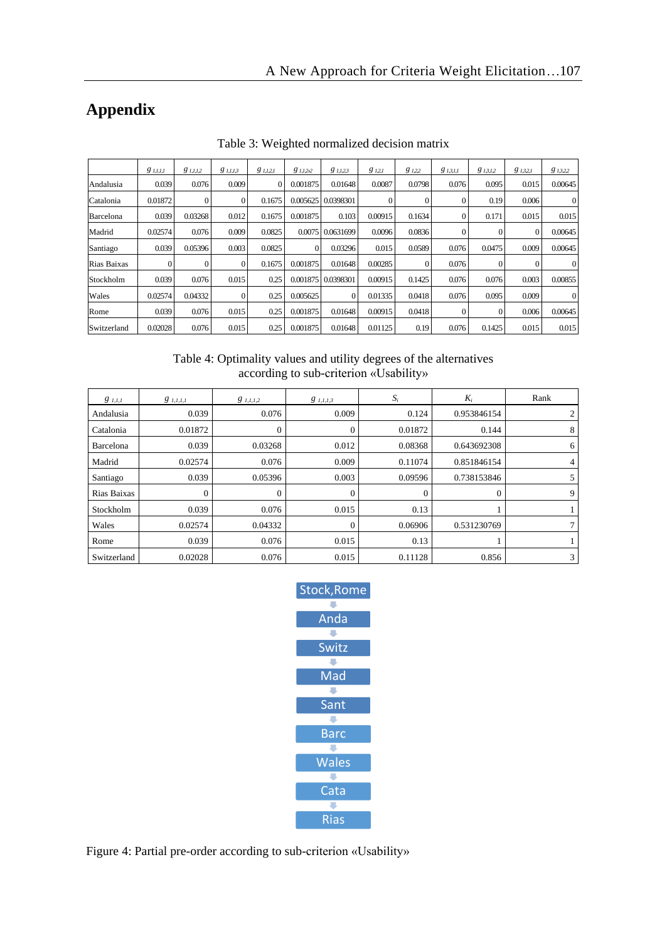# **Appendix**

|             | $g_{1,I,I,I}$ | $g_{1,1,1,2}$ | 8 1.1.13 | $g_{1,1,2,1}$ | 81.1.22  | $g_{1,1,23}$       | 8121    | $g_{1,2,2}$ | $g_{1,3,1,1}$ | $g_{1,3,1,2}$ | $g_{1,3,2,1}$ | 8 13,2,2 |
|-------------|---------------|---------------|----------|---------------|----------|--------------------|---------|-------------|---------------|---------------|---------------|----------|
| Andalusia   | 0.039         | 0.076         | 0.009    | 0             | 0.001875 | 0.01648            | 0.0087  | 0.0798      | 0.076         | 0.095         | 0.015         | 0.00645  |
| Catalonia   | 0.01872       | 0             | $\Omega$ | 0.1675        |          | 0.005625 0.0398301 |         |             |               | 0.19          | 0.006         | $\Omega$ |
| Barcelona   | 0.039         | 0.03268       | 0.012    | 0.1675        | 0.001875 | 0.103              | 0.00915 | 0.1634      |               | 0.171         | 0.015         | 0.015    |
| Madrid      | 0.02574       | 0.076         | 0.009    | 0.0825        |          | 0.0075 0.0631699   | 0.0096  | 0.0836      |               |               | $\mathbf{0}$  | 0.00645  |
| Santiago    | 0.039         | 0.05396       | 0.003    | 0.0825        | $\Omega$ | 0.03296            | 0.015   | 0.0589      | 0.076         | 0.0475        | 0.009         | 0.00645  |
| Rias Baixas |               | 0             | 0        | 0.1675        | 0.001875 | 0.01648            | 0.00285 |             | 0.076         |               |               | $\theta$ |
| Stockholm   | 0.039         | 0.076         | 0.015    | 0.25          | 0.001875 | 0.0398301          | 0.00915 | 0.1425      | 0.076         | 0.076         | 0.003         | 0.00855  |
| Wales       | 0.02574       | 0.04332       | $\Omega$ | 0.25          | 0.005625 | $\Omega$           | 0.01335 | 0.0418      | 0.076         | 0.095         | 0.009         | $\Omega$ |
| Rome        | 0.039         | 0.076         | 0.015    | 0.25          | 0.001875 | 0.01648            | 0.00915 | 0.0418      |               | $\Omega$      | 0.006         | 0.00645  |
| Switzerland | 0.02028       | 0.076         | 0.015    | 0.25          | 0.001875 | 0.01648            | 0.01125 | 0.19        | 0.076         | 0.1425        | 0.015         | 0.015    |

Table 3: Weighted normalized decision matrix

Table 4: Optimality values and utility degrees of the alternatives according to sub-criterion «Usability»

| $g_{1,I,I}$ | $g$ <sub>1,1,1,1</sub> | $g_{1,I,I,2}$ | $g_{1,1,1,3}$ | $S_i$   | $K_i$       | Rank |
|-------------|------------------------|---------------|---------------|---------|-------------|------|
| Andalusia   | 0.039                  | 0.076         | 0.009         | 0.124   | 0.953846154 | 2    |
| Catalonia   | 0.01872                | 0             | $\mathbf{0}$  | 0.01872 | 0.144       | 8    |
| Barcelona   | 0.039                  | 0.03268       | 0.012         | 0.08368 | 0.643692308 | 6    |
| Madrid      | 0.02574                | 0.076         | 0.009         | 0.11074 | 0.851846154 | 4    |
| Santiago    | 0.039                  | 0.05396       | 0.003         | 0.09596 | 0.738153846 | 5    |
| Rias Baixas |                        |               | $\Omega$      | 0       | 0           | 9    |
| Stockholm   | 0.039                  | 0.076         | 0.015         | 0.13    |             |      |
| Wales       | 0.02574                | 0.04332       | $\Omega$      | 0.06906 | 0.531230769 | 7    |
| Rome        | 0.039                  | 0.076         | 0.015         | 0.13    |             |      |
| Switzerland | 0.02028                | 0.076         | 0.015         | 0.11128 | 0.856       | 3    |



Figure 4: Partial pre-order according to sub-criterion «Usability»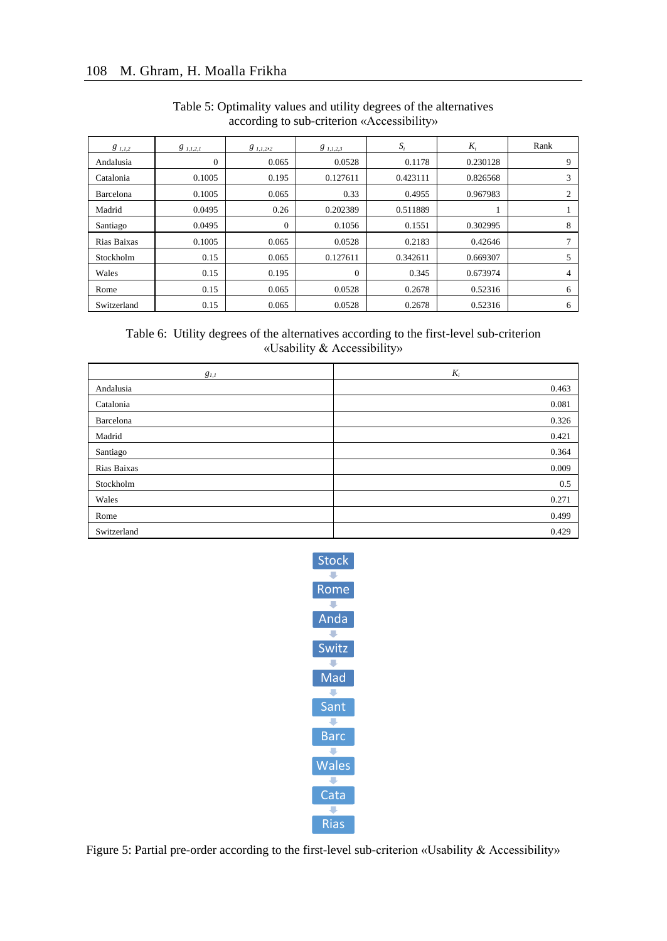| $g_{1,1,2}$ | $g$ 1.1.2.1 | $g$ <sub>1,1,2</sub> ,2 | $g_{1,1,2,3}$ | $S_i$    | $K_i$    | Rank |
|-------------|-------------|-------------------------|---------------|----------|----------|------|
| Andalusia   | $\Omega$    | 0.065                   | 0.0528        | 0.1178   | 0.230128 | 9    |
| Catalonia   | 0.1005      | 0.195                   | 0.127611      | 0.423111 | 0.826568 | 3    |
| Barcelona   | 0.1005      | 0.065                   | 0.33          | 0.4955   | 0.967983 | 2    |
| Madrid      | 0.0495      | 0.26                    | 0.202389      | 0.511889 |          |      |
| Santiago    | 0.0495      | $\Omega$                | 0.1056        | 0.1551   | 0.302995 | 8    |
| Rias Baixas | 0.1005      | 0.065                   | 0.0528        | 0.2183   | 0.42646  |      |
| Stockholm   | 0.15        | 0.065                   | 0.127611      | 0.342611 | 0.669307 | 5    |
| Wales       | 0.15        | 0.195                   | $\Omega$      | 0.345    | 0.673974 | 4    |
| Rome        | 0.15        | 0.065                   | 0.0528        | 0.2678   | 0.52316  | 6    |
| Switzerland | 0.15        | 0.065                   | 0.0528        | 0.2678   | 0.52316  | 6    |

### Table 5: Optimality values and utility degrees of the alternatives according to sub-criterion «Accessibility»

#### Table 6: Utility degrees of the alternatives according to the first-level sub-criterion «Usability & Accessibility»

| $g_{1,1}$   | $K_i$ |
|-------------|-------|
| Andalusia   | 0.463 |
| Catalonia   | 0.081 |
| Barcelona   | 0.326 |
| Madrid      | 0.421 |
| Santiago    | 0.364 |
| Rias Baixas | 0.009 |
| Stockholm   | 0.5   |
| Wales       | 0.271 |
| Rome        | 0.499 |
| Switzerland | 0.429 |



Figure 5: Partial pre-order according to the first-level sub-criterion «Usability & Accessibility»